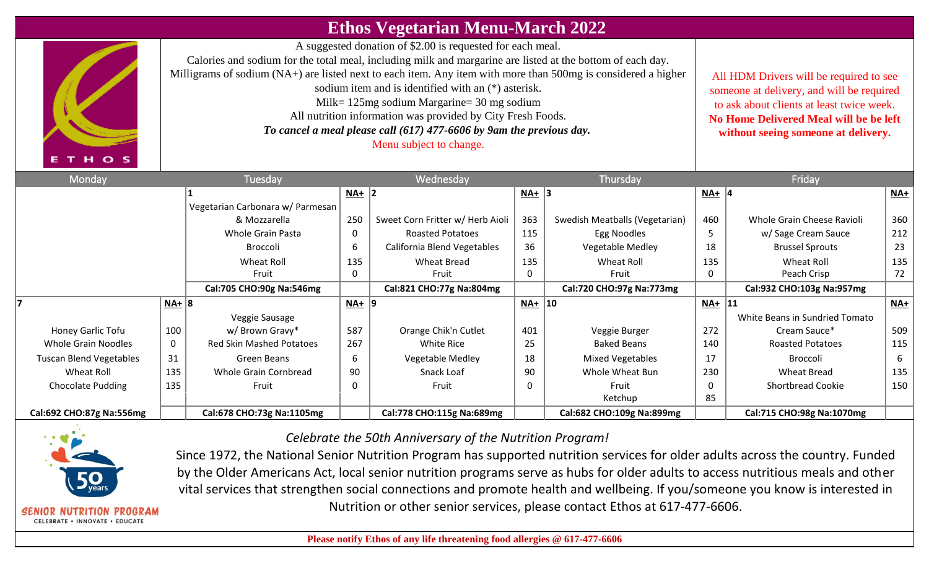## **Ethos Vegetarian Menu-March 2022**

A suggested donation of \$2.00 is requested for each meal.

Calories and sodium for the total meal, including milk and margarine are listed at the bottom of each day.

Milligrams of sodium (NA+) are listed next to each item. Any item with more than 500mg is considered a higher

- sodium item and is identified with an (\*) asterisk.
- Milk= 125mg sodium Margarine= 30 mg sodium
- All nutrition information was provided by City Fresh Foods.
- *To cancel a meal please call (617) 477-6606 by 9am the previous day.*

Menu subject to change.

All HDM Drivers will be required to see someone at delivery, and will be required to ask about clients at least twice week. **No Home Delivered Meal will be be left without seeing someone at delivery.**

| Monday                         | Tuesday   |                                  | Wednesday |                                  |           | Thursday                       |         | Friday                         |                            |  |
|--------------------------------|-----------|----------------------------------|-----------|----------------------------------|-----------|--------------------------------|---------|--------------------------------|----------------------------|--|
|                                |           |                                  | $NA+$ 2   |                                  | $NA+$ 3   |                                | $NA+$ 4 |                                | $\underline{\mathsf{NA}}+$ |  |
|                                |           | Vegetarian Carbonara w/ Parmesan |           |                                  |           |                                |         |                                |                            |  |
|                                |           | & Mozzarella                     | 250       | Sweet Corn Fritter w/ Herb Aioli | 363       | Swedish Meatballs (Vegetarian) | 460     | Whole Grain Cheese Ravioli     | 360                        |  |
|                                |           | <b>Whole Grain Pasta</b>         | 0         | <b>Roasted Potatoes</b>          | 115       | Egg Noodles                    |         | w/ Sage Cream Sauce            | 212                        |  |
|                                |           | <b>Broccoli</b>                  | 6         | California Blend Vegetables      | 36        | Vegetable Medley               | 18      | <b>Brussel Sprouts</b>         | 23                         |  |
|                                |           | Wheat Roll                       | 135       | <b>Wheat Bread</b>               | 135       | Wheat Roll                     | 135     | Wheat Roll                     | 135                        |  |
|                                |           | Fruit                            | 0         | Fruit                            | 0         | Fruit                          | 0       | Peach Crisp                    | 72                         |  |
|                                |           | Cal:705 CHO:90g Na:546mg         |           | Cal:821 CHO:77g Na:804mg         |           | Cal:720 CHO:97g Na:773mg       |         | Cal:932 CHO:103g Na:957mg      |                            |  |
|                                | $NA+   8$ |                                  | $NA+$  9  |                                  | $NA+  10$ |                                | $NA+$   | 11                             | NA+                        |  |
|                                |           | Veggie Sausage                   |           |                                  |           |                                |         | White Beans in Sundried Tomato |                            |  |
| Honey Garlic Tofu              | 100       | w/Brown Gravy*                   | 587       | Orange Chik'n Cutlet             | 401       | Veggie Burger                  | 272     | Cream Sauce*                   | 509                        |  |
| <b>Whole Grain Noodles</b>     | 0         | <b>Red Skin Mashed Potatoes</b>  | 267       | White Rice                       | 25        | <b>Baked Beans</b>             | 140     | <b>Roasted Potatoes</b>        | 115                        |  |
| <b>Tuscan Blend Vegetables</b> | 31        | Green Beans                      | 6         | Vegetable Medley                 | 18        | <b>Mixed Vegetables</b>        | 17      | <b>Broccoli</b>                | 6                          |  |
| Wheat Roll                     | 135       | Whole Grain Cornbread            | 90        | Snack Loaf                       | 90        | Whole Wheat Bun                | 230     | <b>Wheat Bread</b>             | 135                        |  |
| <b>Chocolate Pudding</b>       | 135       | Fruit                            | 0         | Fruit                            | 0         | Fruit                          | 0       | <b>Shortbread Cookie</b>       | 150                        |  |
|                                |           |                                  |           |                                  |           | Ketchup                        | 85      |                                |                            |  |
| Cal:692 CHO:87g Na:556mg       |           | Cal:678 CHO:73g Na:1105mg        |           | Cal:778 CHO:115g Na:689mg        |           | Cal:682 CHO:109g Na:899mg      |         | Cal:715 CHO:98g Na:1070mg      |                            |  |



CELEBRATE . INNOVATE . EDUCATE

*Celebrate the 50th Anniversary of the Nutrition Program!* 

Since 1972, the National Senior Nutrition Program has supported nutrition services for older adults across the country. Funded by the Older Americans Act, local senior nutrition programs serve as hubs for older adults to access nutritious meals and other vital services that strengthen social connections and promote health and wellbeing. If you/someone you know is interested in Nutrition or other senior services, please contact Ethos at 617-477-6606.